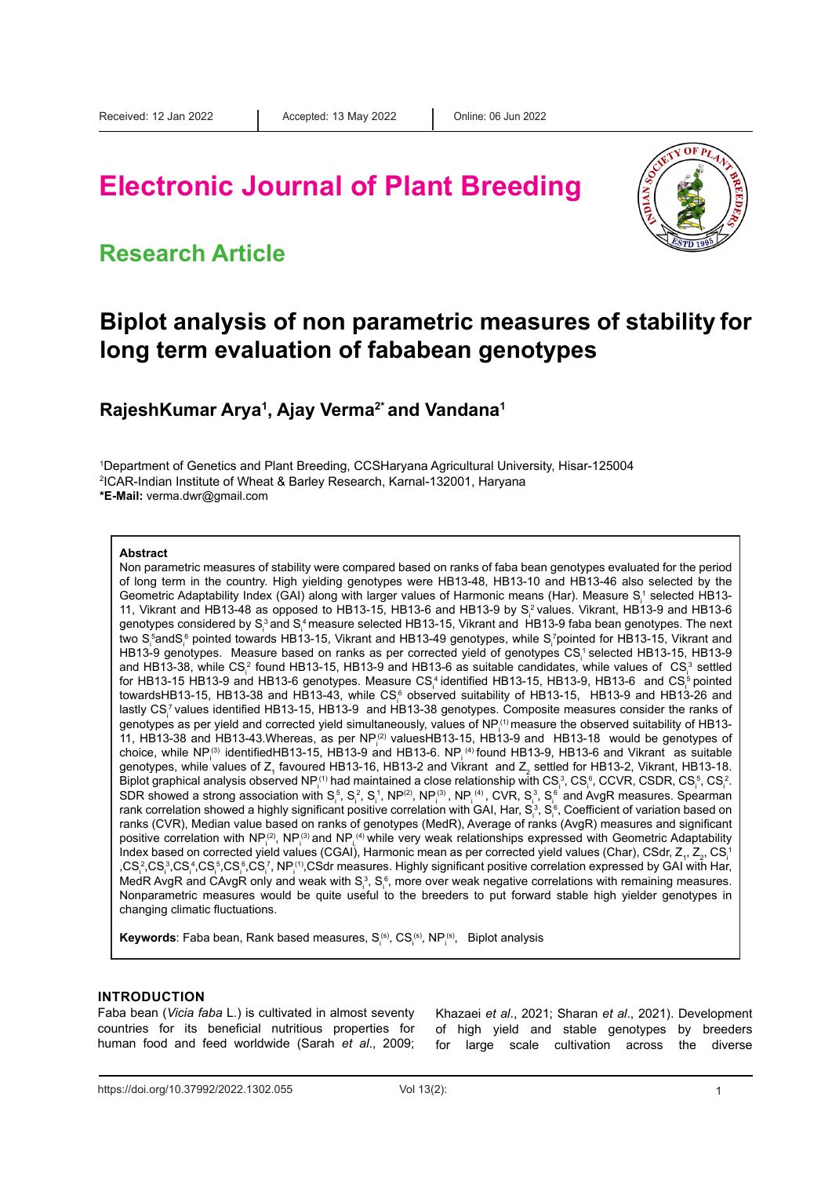# **Electronic Journal of Plant Breeding**

### **Research Article**



### **Biplot analysis of non parametric measures of stability for long term evaluation of fababean genotypes**

**RajeshKumar Arya1 , Ajay Verma2\* and Vandana1**

1 Department of Genetics and Plant Breeding, CCSHaryana Agricultural University, Hisar-125004 2 ICAR-Indian Institute of Wheat & Barley Research, Karnal-132001, Haryana **\*E-Mail:** verma.dwr@gmail.com

#### **Abstract**

Non parametric measures of stability were compared based on ranks of faba bean genotypes evaluated for the period of long term in the country. High yielding genotypes were HB13-48, HB13-10 and HB13-46 also selected by the Geometric Adaptability Index (GAI) along with larger values of Harmonic means (Har). Measure S $^{\scriptscriptstyle +}_i$  selected HB13-11, Vikrant and HB13-48 as opposed to HB13-15, HB13-6 and HB13-9 by S $^2$ values. Vikrant, HB13-9 and HB13-6 genotypes considered by S $^3$  and S $^4$  measure selected HB13-15, Vikrant and HB13-9 faba bean genotypes. The next two S<sub>i</sub>ʿandS<sub>i</sub>ʿ pointed towards HB13-15, Vikrant and HB13-49 genotypes, while S<sub>i</sub>'pointed for HB13-15, Vikrant and HB13-9 genotypes. Measure based on ranks as per corrected yield of genotypes  $\text{CS}_\text{i}^+$ selected HB13-15, HB13-9 and HB13-38, while CS<sub>i</sub><sup>2</sup> found HB13-15, HB13-9 and HB13-6 as suitable candidates, while values of  $|CS|^3$  settled for HB13-15 HB13-9 and HB13-6 genotypes. Measure CS $^{\rm t}_\parallel$ identified HB13-15, HB13-9, HB13-6  $\,$  and CS $^{\rm s}_\parallel$ pointed towardsHB13-15, HB13-38 and HB13-43, while CS $_{\rm i}^{\rm s}$  observed suitability of HB13-15, HB13-9 and HB13-26 and lastly CS $^7$ values identified HB13-15, HB13-9  $\,$  and HB13-38 genotypes. Composite measures consider the ranks of genotypes as per yield and corrected yield simultaneously, values of NP $_!^{\rm (1)}$ measure the observed suitability of HB13-11, HB13-38 and HB13-43.Whereas, as per NP $_1^{(2)}$  valuesHB13-15, HB13-9 and HB13-18 would be genotypes of choice, while NP<sub>i</sub><sup>3</sup> identifiedHB13-15, HB13-9 and HB13-6. NP<sub>i</sub> <sup>(4)</sup> found HB13-9, HB13-6 and Vikrant as suitable genotypes, while values of Z<sub>1</sub> favoured HB13-16, HB13-2 and Vikrant and Z<sub>2</sub> settled for HB13-2, Vikrant, HB13-18. Biplot graphical analysis observed NP $_1^{\rm (1)}$  had maintained a close relationship with CS $_1^3$ , CS $_1^6$ , CCVR, CSDR, CS $_1^5$ , CS $_i^2$ . SDR showed a strong association with S $^5_i$ , S $^2_i$ , S $^1_i$ , NP $^{(3)}_i$ , NP $^{(3)}_i$ , NP $^{(4)}_i$ , CVR, S $^3_i$ , S $^6_i$  and AvgR measures. Spearman rank correlation showed a highly significant positive correlation with GAI, Har, S $^{\rm s}_i$ , S $^{\rm s}_i$ , Coefficient of variation based on ranks (CVR), Median value based on ranks of genotypes (MedR), Average of ranks (AvgR) measures and significant positive correlation with NP $_+^{(2)}$ , NP $_+^{(3)}$ and NP $_+^{(4)}$ while very weak relationships expressed with Geometric Adaptability Index based on corrected yield values (CGAI), Harmonic mean as per corrected yield values (Char), CSdr, Z<sub>1</sub>, Z<sub>2</sub>, CS $^{\circ}_{\rm i}$ ,CS $^2$ ,CS $^3$ ,CS $^4$ ,CS $^5$ ,CS $^6$ ,CS $^7$ , NP $^{(1)}$ ,CSdr measures. Highly significant positive correlation expressed by GAI with Har, MedR AvgR and CAvgR only and weak with S $^3_\mathfrak{i}$ , S $^6_\mathfrak{i}$ , more over weak negative correlations with remaining measures. Nonparametric measures would be quite useful to the breeders to put forward stable high yielder genotypes in changing climatic fluctuations.

**Keywords**: Faba bean, Rank based measures, S<sub>í</sub>s, CS<sub>í</sub>s, NP<sub>í</sub>s, Biplot analysis

#### **INTRODUCTION**

Faba bean (*Vicia faba* L.) is cultivated in almost seventy countries for its beneficial nutritious properties for human food and feed worldwide (Sarah *et al*., 2009; Khazaei *et al*., 2021; Sharan *et al*., 2021). Development of high yield and stable genotypes by breeders for large scale cultivation across the diverse

https://doi.org/10.37992/2022.1302.055 Vol 13(2): 1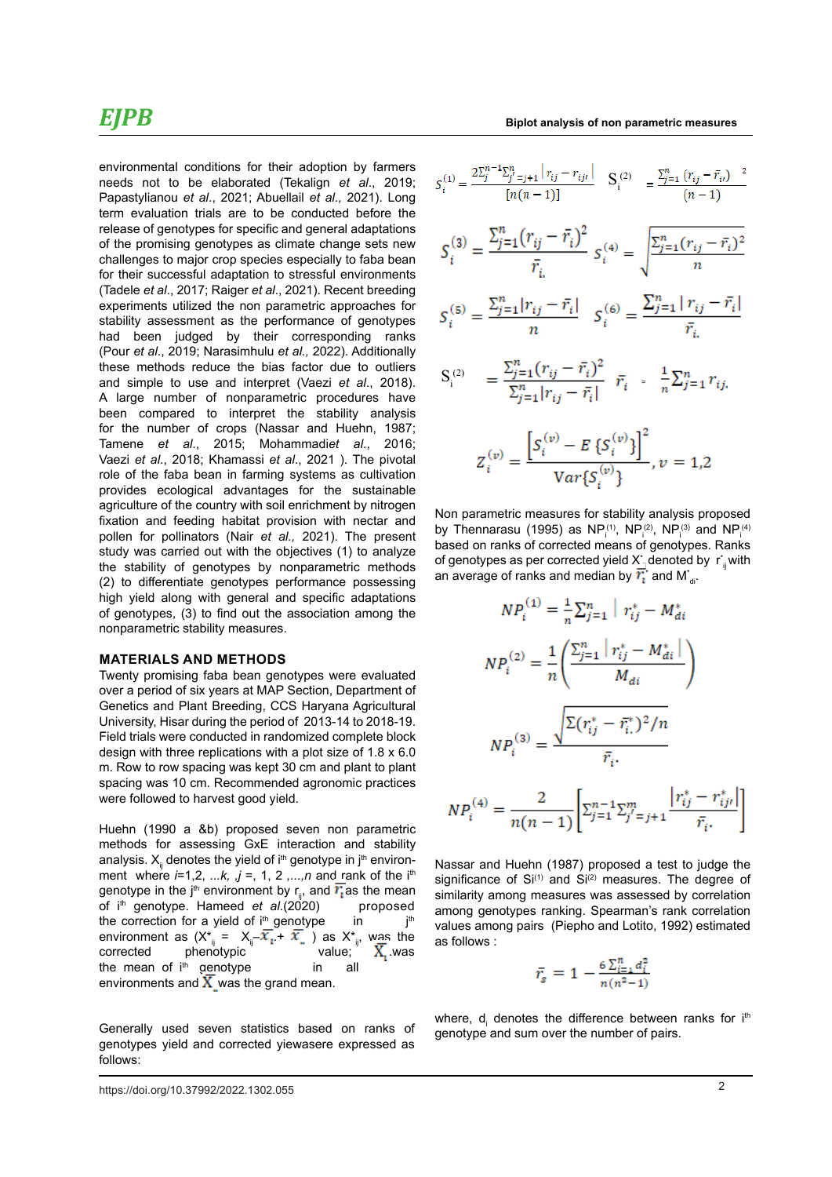environmental conditions for their adoption by farmers needs not to be elaborated (Tekalign *et al*., 2019; Papastylianou *et al*., 2021; Abuellail *et al.,* 2021). Long term evaluation trials are to be conducted before the release of genotypes for specific and general adaptations of the promising genotypes as climate change sets new challenges to major crop species especially to faba bean for their successful adaptation to stressful environments (Tadele *et al*., 2017; Raiger *et al*., 2021). Recent breeding experiments utilized the non parametric approaches for stability assessment as the performance of genotypes had been judged by their corresponding ranks (Pour *et al*., 2019; Narasimhulu *et al.,* 2022). Additionally these methods reduce the bias factor due to outliers and simple to use and interpret (Vaezi *et al*., 2018). A large number of nonparametric procedures have been compared to interpret the stability analysis for the number of crops (Nassar and Huehn, 1987; Tamene *et al*., 2015; Mohammadi*et al*., 2016; Vaezi *et al*., 2018; Khamassi *et al*., 2021 ). The pivotal role of the faba bean in farming systems as cultivation provides ecological advantages for the sustainable agriculture of the country with soil enrichment by nitrogen fixation and feeding habitat provision with nectar and pollen for pollinators (Nair *et al.,* 2021). The present study was carried out with the objectives (1) to analyze the stability of genotypes by nonparametric methods (2) to differentiate genotypes performance possessing high yield along with general and specific adaptations of genotypes, (3) to find out the association among the nonparametric stability measures.

#### **MATERIALS AND METHODS**

Twenty promising faba bean genotypes were evaluated over a period of six years at MAP Section, Department of Genetics and Plant Breeding, CCS Haryana Agricultural University, Hisar during the period of 2013-14 to 2018-19. Field trials were conducted in randomized complete block design with three replications with a plot size of 1.8 x 6.0 m. Row to row spacing was kept 30 cm and plant to plant spacing was 10 cm. Recommended agronomic practices were followed to harvest good yield.

Huehn (1990 a &b) proposed seven non parametric methods for assessing GxE interaction and stability analysis.  $X_{ii}$  denotes the yield of i<sup>th</sup> genotype in j<sup>th</sup> environment where *i*=1,2, *...k, ,j* =, 1, 2 *,...,n* and rank of the ith genotype in the j<sup>th</sup> environment by r<sub>ij</sub>, and  $\overline{r_i}$  as the mean of i<sup>th</sup> genotype. Hameed *et al.*(2020) proposed of i<sup>th</sup> genotype. Hameed *et al.*(2020) the correction for a yield of  $i<sup>th</sup>$  genotype in  $i<sup>th</sup>$ environment as  $(X^*_{ij} = X_{ij} - \overline{X_{i}} + \overline{X_{i}})$  as  $X^*_{ij}$ , was the corrected phenotypic value;  $\overline{X_{i}}$  was phenotypic the mean of i<sup>th</sup> genotype in all environments and  $\overline{X}$  was the grand mean.

Generally used seven statistics based on ranks of genotypes yield and corrected yiewasere expressed as follows:

https://doi.org/10.37992/2022.1302.055 2

$$
S_i^{(1)} = \frac{2\sum_{j=1}^{n} (r_{ij} - \bar{r}_{ij})}{[n(n-1)]} \quad S_i^{(2)} = \frac{\sum_{j=1}^{n} (r_{ij} - \bar{r}_{ij})^2}{(n-1)}
$$
  

$$
S_i^{(3)} = \frac{\sum_{j=1}^{n} (r_{ij} - \bar{r}_i)^2}{\bar{r}_{i.}} \quad S_i^{(4)} = \sqrt{\frac{\sum_{j=1}^{n} (r_{ij} - \bar{r}_i)^2}{n}}
$$
  

$$
S_i^{(5)} = \frac{\sum_{j=1}^{n} |r_{ij} - \bar{r}_i|}{n} \quad S_i^{(6)} = \frac{\sum_{j=1}^{n} |r_{ij} - \bar{r}_i|}{\bar{r}_{i.}}
$$
  

$$
S_i^{(2)} = \frac{\sum_{j=1}^{n} (r_{ij} - \bar{r}_i)^2}{\sum_{j=1}^{n} |r_{ij} - \bar{r}_i|} \quad \bar{r}_i = \frac{1}{n} \sum_{j=1}^{n} r_{ij.}
$$
  

$$
Z_i^{(v)} = \frac{\left[S_i^{(v)} - E\{S_i^{(v)}\}\right]^2}{Var\{S_i^{(v)}\}}, v = 1, 2
$$

Non parametric measures for stability analysis proposed by Thennarasu (1995) as NP $_1^{(1)}$ , NP $_1^{(2)}$ , NP $_1^{(3)}$  and NP $_1^{(4)}$ based on ranks of corrected means of genotypes. Ranks of genotypes as per corrected yield  $X^*_{\dot-}$ denoted by  $\;$ r $^*_{\text{ij}}$ with an average of ranks and median by  $r_{\rm i}^{\star}$  and M $_{\rm di}^{\star}$ 

$$
NP_i^{(1)} = \frac{1}{n} \sum_{j=1}^n \left| r_{ij}^* - M_{di}^* \right|
$$
  
\n
$$
NP_i^{(2)} = \frac{1}{n} \left( \frac{\sum_{j=1}^n \left| r_{ij}^* - M_{di}^* \right|}{M_{di}} \right)
$$
  
\n
$$
NP_i^{(3)} = \frac{\sqrt{\sum (r_{ij}^* - \bar{r}_{i.}^*)^2 / n}}{\bar{r}_{i.}}
$$
  
\n
$$
NP_i^{(4)} = \frac{2}{n(n-1)} \left[ \sum_{j=1}^{n-1} \sum_{j'=j+1}^{m} \frac{\left| r_{ij}^* - r_{ij'}^* \right|}{\bar{r}_{i.}} \right]
$$

Nassar and Huehn (1987) proposed a test to judge the significance of  $Si^{(1)}$  and  $Si^{(2)}$  measures. The degree of similarity among measures was assessed by correlation among genotypes ranking. Spearman's rank correlation values among pairs (Piepho and Lotito, 1992) estimated as follows :

$$
\bar{r}_s = 1 - \frac{6 \sum_{i=1}^n d_i^2}{n(n^2-1)}
$$

where, d<sub>i</sub> denotes the difference between ranks for i<sup>th</sup> genotype and sum over the number of pairs.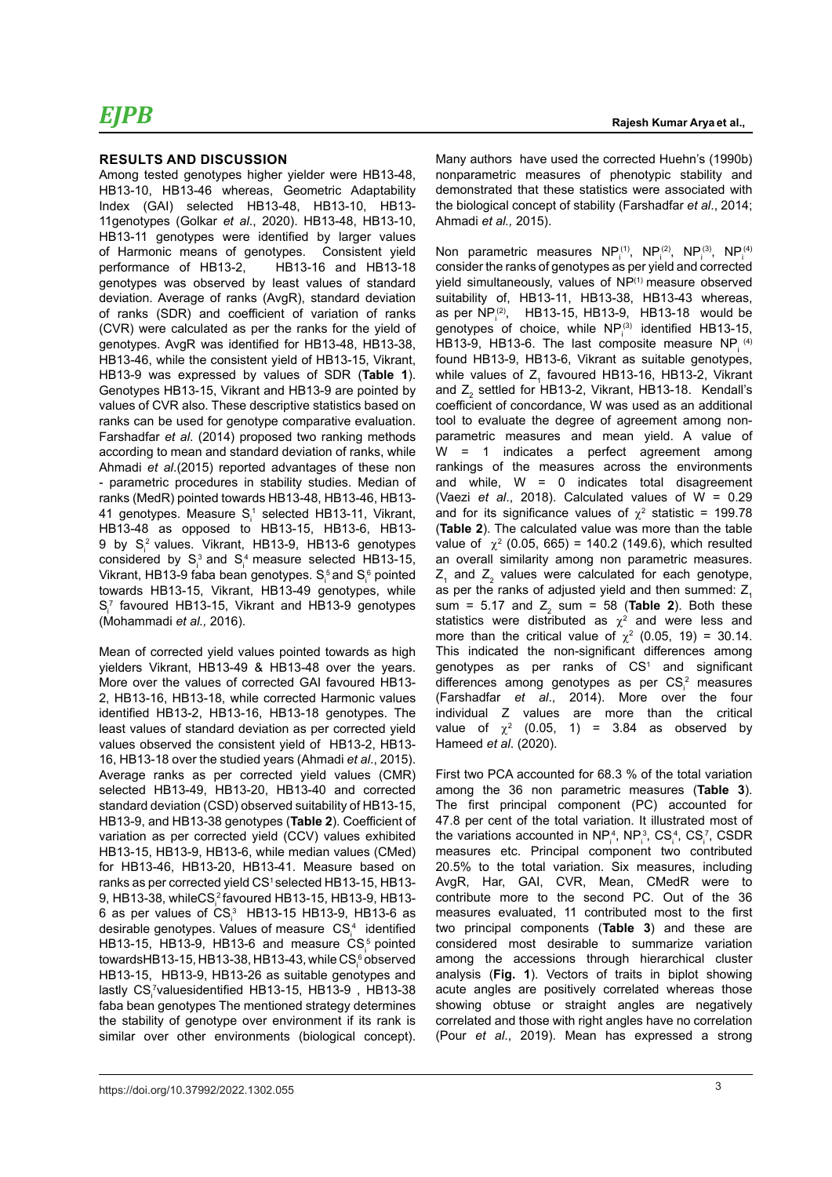#### **RESULTS AND DISCUSSION**

Among tested genotypes higher yielder were HB13-48, HB13-10, HB13-46 whereas, Geometric Adaptability Index (GAI) selected HB13-48, HB13-10, HB13- 11genotypes (Golkar *et al*., 2020). HB13-48, HB13-10, HB13-11 genotypes were identified by larger values of Harmonic means of genotypes. Consistent yield performance of HB13-2, HB13-16 and HB13-18 genotypes was observed by least values of standard deviation. Average of ranks (AvgR), standard deviation of ranks (SDR) and coefficient of variation of ranks (CVR) were calculated as per the ranks for the yield of genotypes. AvgR was identified for HB13-48, HB13-38, HB13-46, while the consistent yield of HB13-15, Vikrant, HB13-9 was expressed by values of SDR (**Table 1**). Genotypes HB13-15, Vikrant and HB13-9 are pointed by values of CVR also. These descriptive statistics based on ranks can be used for genotype comparative evaluation. Farshadfar *et al*. (2014) proposed two ranking methods according to mean and standard deviation of ranks, while Ahmadi *et al*.(2015) reported advantages of these non - parametric procedures in stability studies. Median of ranks (MedR) pointed towards HB13-48, HB13-46, HB13- 41 genotypes. Measure  $S_i^1$  selected HB13-11, Vikrant, HB13-48 as opposed to HB13-15, HB13-6, HB13- 9 by S<sub>i</sub> values. Vikrant, HB13-9, HB13-6 genotypes considered by  $S_i^3$  and  $S_i^4$  measure selected HB13-15, Vikrant, HB13-9 faba bean genotypes.  $\mathsf{S}_{\mathsf{i}}^{\mathsf{5}}$  and  $\mathsf{S}_{\mathsf{i}}^{\mathsf{6}}$  pointed towards HB13-15, Vikrant, HB13-49 genotypes, while  $S_i^7$  favoured HB13-15, Vikrant and HB13-9 genotypes (Mohammadi *et al.,* 2016).

Mean of corrected yield values pointed towards as high yielders Vikrant, HB13-49 & HB13-48 over the years. More over the values of corrected GAI favoured HB13- 2, HB13-16, HB13-18, while corrected Harmonic values identified HB13-2, HB13-16, HB13-18 genotypes. The least values of standard deviation as per corrected yield values observed the consistent yield of HB13-2, HB13- 16, HB13-18 over the studied years (Ahmadi *et al*., 2015). Average ranks as per corrected yield values (CMR) selected HB13-49, HB13-20, HB13-40 and corrected standard deviation (CSD) observed suitability of HB13-15, HB13-9, and HB13-38 genotypes (**Table 2**). Coefficient of variation as per corrected yield (CCV) values exhibited HB13-15, HB13-9, HB13-6, while median values (CMed) for HB13-46, HB13-20, HB13-41. Measure based on ranks as per corrected yield CS<sup>1</sup> selected HB13-15, HB13-9, HB13-38, whileCS $_{\rm i}^2$ favoured HB13-15, HB13-9, HB13-6 as per values of  $\text{CS}^{\hspace{0.5pt}3}_\text{\tiny{l}}$  HB13-15 HB13-9, HB13-6 as desirable genotypes. Values of measure  $\text{CS}_\text{i}^4$  identified HB13-15, HB13-9, HB13-6 and measure  $CS_i^5$  pointed towardsHB13-15, HB13-38, HB13-43, while CS $_{\shortparallel}^{\scriptscriptstyle\rm 6}$ observed HB13-15, HB13-9, HB13-26 as suitable genotypes and lastly CS<sub>i</sub><sup>7</sup>valuesidentified HB13-15, HB13-9,HB13-38 faba bean genotypes The mentioned strategy determines the stability of genotype over environment if its rank is similar over other environments (biological concept).

Many authors have used the corrected Huehn's (1990b) nonparametric measures of phenotypic stability and demonstrated that these statistics were associated with the biological concept of stability (Farshadfar *et al*., 2014; Ahmadi *et al.,* 2015).

Non parametric measures  $\mathsf{NP}_{i}^{(1)}, \mathsf{NP}_{i}^{(2)}, \mathsf{NP}_{i}^{(3)}, \mathsf{NP}_{i}^{(4)}$ consider the ranks of genotypes as per yield and corrected yield simultaneously, values of NP<sup>(1)</sup> measure observed suitability of, HB13-11, HB13-38, HB13-43 whereas, as per  $NP_i^{(2)}$ , HB13-15, HB13-9, HB13-18 would be genotypes of choice, while  $NP_i^{(3)}$  identified HB13-15, HB13-9, HB13-6. The last composite measure  $NP_i^{(4)}$ found HB13-9, HB13-6, Vikrant as suitable genotypes, while values of  $Z_1$  favoured HB13-16, HB13-2, Vikrant and  $Z_{2}$  settled for HB13-2, Vikrant, HB13-18. Kendall's coefficient of concordance, W was used as an additional tool to evaluate the degree of agreement among nonparametric measures and mean yield. A value of W = 1 indicates a perfect agreement among rankings of the measures across the environments and while,  $W = 0$  indicates total disagreement (Vaezi *et al*., 2018). Calculated values of W = 0.29 and for its significance values of  $\chi^2$  statistic = 199.78 (**Table 2**). The calculated value was more than the table value of  $\chi^2$  (0.05, 665) = 140.2 (149.6), which resulted an overall similarity among non parametric measures.  $Z_1$  and  $Z_2$  values were calculated for each genotype, as per the ranks of adjusted yield and then summed:  $Z_1$ sum =  $5.17$  and  $Z_2$  sum =  $58$  (**Table 2**). Both these statistics were distributed as  $\chi^2$  and were less and more than the critical value of  $\chi^2$  (0.05, 19) = 30.14. This indicated the non-significant differences among genotypes as per ranks of  $CS<sup>1</sup>$  and significant differences among genotypes as per  $CS_i^2$  measures (Farshadfar *et al*., 2014). More over the four individual Z values are more than the critical value of  $\chi^2$  (0.05, 1) = 3.84 as observed by Hameed *et al*. (2020).

First two PCA accounted for 68.3 % of the total variation among the 36 non parametric measures (**Table 3**). The first principal component (PC) accounted for 47.8 per cent of the total variation. It illustrated most of the variations accounted in  $NP_i^4$ ,  $NP_i^3$ ,  $CS_i^4$ ,  $CS_i^7$ , CSDR measures etc. Principal component two contributed 20.5% to the total variation. Six measures, including AvgR, Har, GAI, CVR, Mean, CMedR were to contribute more to the second PC. Out of the 36 measures evaluated, 11 contributed most to the first two principal components (**Table 3**) and these are considered most desirable to summarize variation among the accessions through hierarchical cluster analysis (**Fig. 1**). Vectors of traits in biplot showing acute angles are positively correlated whereas those showing obtuse or straight angles are negatively correlated and those with right angles have no correlation (Pour *et al*., 2019). Mean has expressed a strong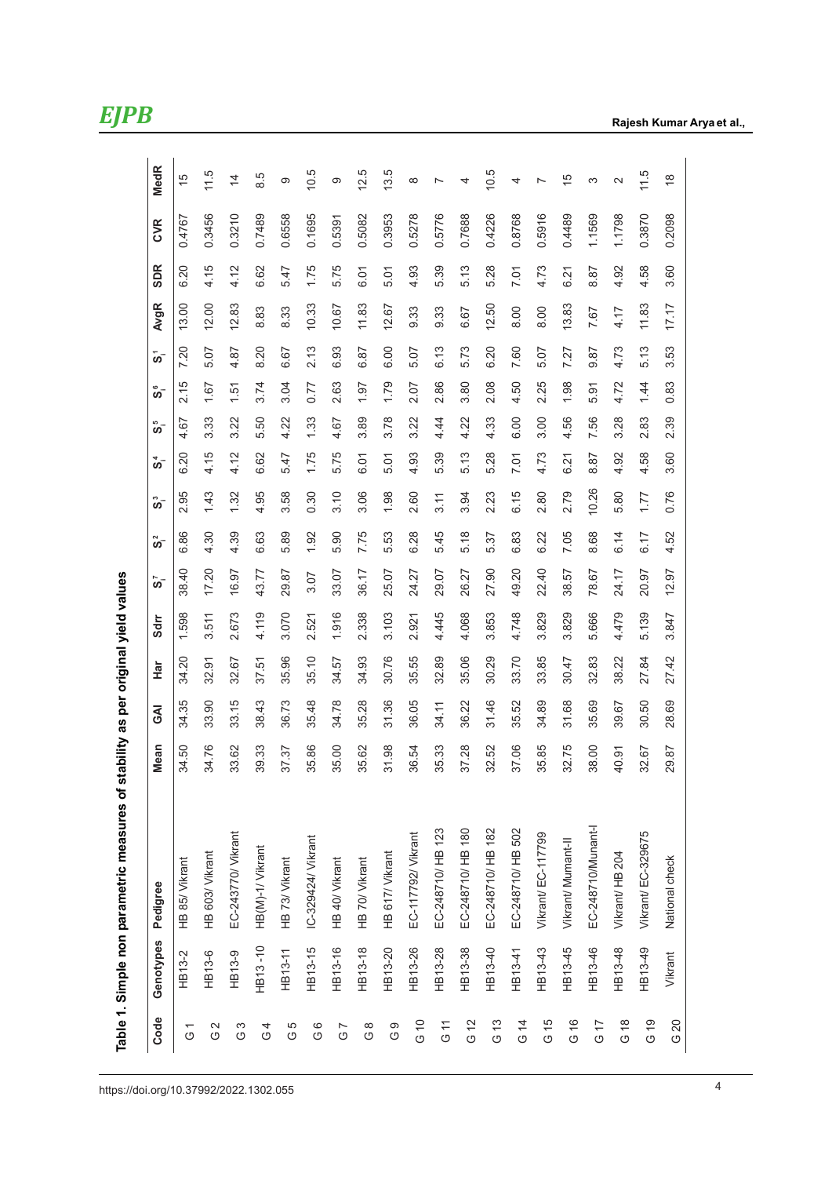| "ININ IDA QU ATILIZUS IS DAISDE                                        |
|------------------------------------------------------------------------|
|                                                                        |
| Simple non narametric measures of stability as ner orininal vield valu |
|                                                                        |
| <br> <br> <br> <br> <br>                                               |
| י<br>ובודד                                                             |

| Code                      |                    |                          | Mean  | <b>R</b> O | Har   | Sdrr  | ິຕ    | 2    | ຶ່    | 4<br>ທັ | 5<br>ທັ | ဖ<br>ທັ |      | <b>AvgR</b> | <b>SDR</b> | <b>CVR</b> | <b>MedR</b>              |
|---------------------------|--------------------|--------------------------|-------|------------|-------|-------|-------|------|-------|---------|---------|---------|------|-------------|------------|------------|--------------------------|
|                           | Genotypes Pedigree |                          |       |            |       |       |       | ທັ   |       |         |         |         | ້ທີ  |             |            |            |                          |
| $\tilde{c}$               | HB13-2             | HB 85/ Vikrant           | 34.50 | 34.35      | 34.20 | 1.598 | 38.40 | 6.86 | 2.95  | 6.20    | 4.67    | 2.15    | 7.20 | 13.00       | 6.20       | 0.4767     | 15                       |
| 2<br>G                    | HB13-6             | HB 603/ Vikrant          | 34.76 | 33.90      | 32.91 | 3.511 | 17.20 | 4.30 | 1.43  | 4.15    | 3.33    | 1.67    | 5.07 | 12.00       | 4.15       | 0.3456     | 11.5                     |
| S<br>$\stackrel{}{\circ}$ | HB13-9             | EC-243770/ Vikrant       | 33.62 | 33.15      | 32.67 | 2.673 | 16.97 | 4.39 | 1.32  | 4.12    | 3.22    | 1.51    | 4.87 | 12.83       | 4.12       | 0.3210     | $\overline{4}$           |
| G 4                       | HB13-10            | HB(M)-1/ Vikrant         | 39.33 | 38.43      | 37.51 | 4.119 | 43.77 | 6.63 | 4.95  | 6.62    | 5.50    | 3.74    | 8.20 | 8.83        | 6.62       | 0.7489     | 8.5                      |
| G 5                       | HB13-11            | HB 73/ Vikrant           | 37.37 | 36.73      | 35.96 | 3.070 | 29.87 | 5.89 | 3.58  | 5.47    | 4.22    | 3.04    | 6.67 | 8.33        | 5.47       | 0.6558     | တ                        |
| ပ<br>၁                    | HB13-15            | IC-329424/ Vikrant       | 35.86 | 35.48      | 35.10 | 2.521 | 3.07  | 1.92 | 0.30  | 1.75    | 1.33    | 0.77    | 2.13 | 10.33       | 1.75       | 0.1695     | 0.5                      |
| G 7                       | HB13-16            | HB 40/ Vikrant           | 35.00 | 34.78      | 34.57 | 1.916 | 33.07 | 5.90 | 3.10  | 5.75    | 4.67    | 2.63    | 6.93 | 10.67       | 5.75       | 0.5391     | တ                        |
| $\frac{8}{3}$             | HB13-18            | HB 70/ Vikrant           | 35.62 | 35.28      | 34.93 | 2.338 | 36.17 | 7.75 | 3.06  | 6.01    | 3.89    | 1.97    | 6.87 | 11.83       | 6.01       | 0.5082     | 12.5                     |
| ဝ<br>ပ                    | HB13-20            | HB 617/ Vikrant          | 31.98 | 31.36      | 30.76 | 3.103 | 25.07 | 5.53 | 1.98  | 5.01    | 3.78    | 1.79    | 6.00 | 12.67       | 5.01       | 0.3953     | 3.5                      |
| G <sub>10</sub>           | HB13-26            | EC-117792/ Vikrant       | 36.54 | 36.05      | 35.55 | 2.921 | 24.27 | 6.28 | 2.60  | 4.93    | 3.22    | 2.07    | 5.07 | 9.33        | 4.93       | 0.5278     | $\infty$                 |
| ا با<br>0                 | HB13-28            | EC-248710/ HB 123        | 35.33 | 34.11      | 32.89 | 4.445 | 29.07 | 5.45 | 3.11  | 5.39    | 4.44    | 2.86    | 6.13 | 9.33        | 5.39       | 0.5776     | $\overline{ }$           |
| G <sub>12</sub>           | HB13-38            | EC-248710/ HB 180        | 37.28 | 36.22      | 35.06 | 4.068 | 26.27 | 5.18 | 3.94  | 5.13    | 4.22    | 3.80    | 5.73 | 6.67        | 5.13       | 0.7688     | 4                        |
| G <sub>13</sub>           | HB13-40            | EC-248710/ HB 182        | 32.52 | 31.46      | 30.29 | 3.853 | 27.90 | 5.37 | 2.23  | 5.28    | 4.33    | 2.08    | 6.20 | 12.50       | 5.28       | 0.4226     | 0.5                      |
| G <sub>14</sub>           | HB13-41            | EC-248710/ HB 502        | 37.06 | 35.52      | 33.70 | 4.748 | 49.20 | 6.83 | 6.15  | 7.01    | 6.00    | 4.50    | 7.60 | 8.00        | 7.01       | 0.8768     | 4                        |
| G15                       | HB13-43            | Vikrant/EC-117799        | 35.85 | 34.89      | 33.85 | 3.829 | 22.40 | 6.22 | 2.80  | 4.73    | 3.00    | 2.25    | 5.07 | 8.00        | 4.73       | 0.5916     | $\overline{\phantom{0}}$ |
| G <sub>16</sub>           | HB13-45            | Vikrant/ Mumant-II       | 32.75 | 31.68      | 30.47 | 3.829 | 38.57 | 7.05 | 2.79  | 6.21    | 4.56    | 1.98    | 7.27 | 13.83       | 6.21       | 0.4489     | $\frac{5}{5}$            |
| G 17                      | HB13-46            | EC-248710/Munant-I       | 38.00 | 35.69      | 32.83 | 5.666 | 78.67 | 8.68 | 10.26 | 8.87    | 7.56    | 5.91    | 9.87 | 7.67        | 8.87       | 1.1569     | က                        |
| G <sub>18</sub>           | HB13-48            | Vikrant/ HB 204          | 40.91 | 39.67      | 38.22 | 4.479 | 24.17 | 6.14 | 5.80  | 4.92    | 3.28    | 4.72    | 4.73 | 4.17        | 4.92       | 1.1798     | $\sim$                   |
| $G$ 19                    | HB13-49            | <b>Vikrant/EC-329675</b> | 32.67 | 30.50      | 27.84 | 5.139 | 20.97 | 6.17 | 1.77  | 4.58    | 2.83    | 1.44    | 5.13 | 11.83       | 4.58       | 0.3870     | 11.5                     |
| G20                       | Vikrant            | National check           | 29.87 | 28.69      | 27.42 | 3.847 | 12.97 | 4.52 | 0.76  | 3.60    | 2.39    | 0.83    | 3.53 | 17.17       | 3.60       | 0.2098     | $\frac{8}{1}$            |

4 https://doi.org/10.37992/2022.1302.055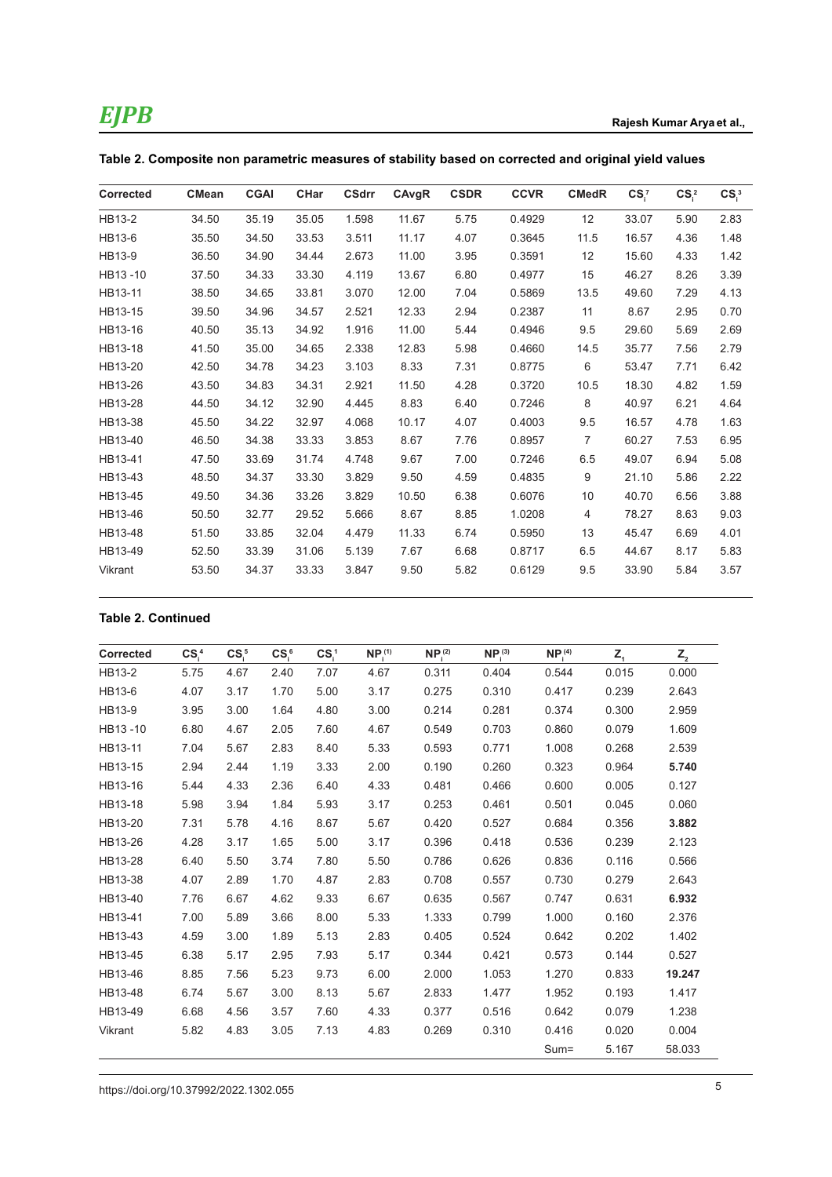| <b>Corrected</b> | <b>CMean</b> | <b>CGAI</b> | <b>CHar</b> | <b>CSdrr</b> | CAvgR | <b>CSDR</b> | <b>CCVR</b> | <b>CMedR</b>   | $CS_i^7$ | $CS_i^2$ | $CS_i^3$ |
|------------------|--------------|-------------|-------------|--------------|-------|-------------|-------------|----------------|----------|----------|----------|
| HB13-2           | 34.50        | 35.19       | 35.05       | 1.598        | 11.67 | 5.75        | 0.4929      | 12             | 33.07    | 5.90     | 2.83     |
| HB13-6           | 35.50        | 34.50       | 33.53       | 3.511        | 11.17 | 4.07        | 0.3645      | 11.5           | 16.57    | 4.36     | 1.48     |
| HB13-9           | 36.50        | 34.90       | 34.44       | 2.673        | 11.00 | 3.95        | 0.3591      | 12             | 15.60    | 4.33     | 1.42     |
| HB13-10          | 37.50        | 34.33       | 33.30       | 4.119        | 13.67 | 6.80        | 0.4977      | 15             | 46.27    | 8.26     | 3.39     |
| HB13-11          | 38.50        | 34.65       | 33.81       | 3.070        | 12.00 | 7.04        | 0.5869      | 13.5           | 49.60    | 7.29     | 4.13     |
| HB13-15          | 39.50        | 34.96       | 34.57       | 2.521        | 12.33 | 2.94        | 0.2387      | 11             | 8.67     | 2.95     | 0.70     |
| HB13-16          | 40.50        | 35.13       | 34.92       | 1.916        | 11.00 | 5.44        | 0.4946      | 9.5            | 29.60    | 5.69     | 2.69     |
| HB13-18          | 41.50        | 35.00       | 34.65       | 2.338        | 12.83 | 5.98        | 0.4660      | 14.5           | 35.77    | 7.56     | 2.79     |
| HB13-20          | 42.50        | 34.78       | 34.23       | 3.103        | 8.33  | 7.31        | 0.8775      | 6              | 53.47    | 7.71     | 6.42     |
| HB13-26          | 43.50        | 34.83       | 34.31       | 2.921        | 11.50 | 4.28        | 0.3720      | 10.5           | 18.30    | 4.82     | 1.59     |
| HB13-28          | 44.50        | 34.12       | 32.90       | 4.445        | 8.83  | 6.40        | 0.7246      | 8              | 40.97    | 6.21     | 4.64     |
| HB13-38          | 45.50        | 34.22       | 32.97       | 4.068        | 10.17 | 4.07        | 0.4003      | 9.5            | 16.57    | 4.78     | 1.63     |
| HB13-40          | 46.50        | 34.38       | 33.33       | 3.853        | 8.67  | 7.76        | 0.8957      | $\overline{7}$ | 60.27    | 7.53     | 6.95     |
| HB13-41          | 47.50        | 33.69       | 31.74       | 4.748        | 9.67  | 7.00        | 0.7246      | 6.5            | 49.07    | 6.94     | 5.08     |
| HB13-43          | 48.50        | 34.37       | 33.30       | 3.829        | 9.50  | 4.59        | 0.4835      | 9              | 21.10    | 5.86     | 2.22     |
| HB13-45          | 49.50        | 34.36       | 33.26       | 3.829        | 10.50 | 6.38        | 0.6076      | 10             | 40.70    | 6.56     | 3.88     |
| HB13-46          | 50.50        | 32.77       | 29.52       | 5.666        | 8.67  | 8.85        | 1.0208      | 4              | 78.27    | 8.63     | 9.03     |
| HB13-48          | 51.50        | 33.85       | 32.04       | 4.479        | 11.33 | 6.74        | 0.5950      | 13             | 45.47    | 6.69     | 4.01     |
| HB13-49          | 52.50        | 33.39       | 31.06       | 5.139        | 7.67  | 6.68        | 0.8717      | 6.5            | 44.67    | 8.17     | 5.83     |
| Vikrant          | 53.50        | 34.37       | 33.33       | 3.847        | 9.50  | 5.82        | 0.6129      | 9.5            | 33.90    | 5.84     | 3.57     |

|  |  |  | Table 2. Composite non parametric measures of stability based on corrected and original yield values |
|--|--|--|------------------------------------------------------------------------------------------------------|
|--|--|--|------------------------------------------------------------------------------------------------------|

### **Table 2. Continued**

| Corrected | CS <sup>4</sup> | CS <sub>5</sub> | CS <sub>6</sub> | CS <sub>1</sub> | NP <sub>i</sub> <sup>(1)</sup> | NP <sub>i</sub> <sup>(2)</sup> | NP <sub>i</sub> <sup>(3)</sup> | NP <sub>i</sub> <sup>(4)</sup> | $Z_{1}$ | $Z_{2}$ |
|-----------|-----------------|-----------------|-----------------|-----------------|--------------------------------|--------------------------------|--------------------------------|--------------------------------|---------|---------|
| HB13-2    | 5.75            | 4.67            | 2.40            | 7.07            | 4.67                           | 0.311                          | 0.404                          | 0.544                          | 0.015   | 0.000   |
| HB13-6    | 4.07            | 3.17            | 1.70            | 5.00            | 3.17                           | 0.275                          | 0.310                          | 0.417                          | 0.239   | 2.643   |
| HB13-9    | 3.95            | 3.00            | 1.64            | 4.80            | 3.00                           | 0.214                          | 0.281                          | 0.374                          | 0.300   | 2.959   |
| HB13-10   | 6.80            | 4.67            | 2.05            | 7.60            | 4.67                           | 0.549                          | 0.703                          | 0.860                          | 0.079   | 1.609   |
| HB13-11   | 7.04            | 5.67            | 2.83            | 8.40            | 5.33                           | 0.593                          | 0.771                          | 1.008                          | 0.268   | 2.539   |
| HB13-15   | 2.94            | 2.44            | 1.19            | 3.33            | 2.00                           | 0.190                          | 0.260                          | 0.323                          | 0.964   | 5.740   |
| HB13-16   | 5.44            | 4.33            | 2.36            | 6.40            | 4.33                           | 0.481                          | 0.466                          | 0.600                          | 0.005   | 0.127   |
| HB13-18   | 5.98            | 3.94            | 1.84            | 5.93            | 3.17                           | 0.253                          | 0.461                          | 0.501                          | 0.045   | 0.060   |
| HB13-20   | 7.31            | 5.78            | 4.16            | 8.67            | 5.67                           | 0.420                          | 0.527                          | 0.684                          | 0.356   | 3.882   |
| HB13-26   | 4.28            | 3.17            | 1.65            | 5.00            | 3.17                           | 0.396                          | 0.418                          | 0.536                          | 0.239   | 2.123   |
| HB13-28   | 6.40            | 5.50            | 3.74            | 7.80            | 5.50                           | 0.786                          | 0.626                          | 0.836                          | 0.116   | 0.566   |
| HB13-38   | 4.07            | 2.89            | 1.70            | 4.87            | 2.83                           | 0.708                          | 0.557                          | 0.730                          | 0.279   | 2.643   |
| HB13-40   | 7.76            | 6.67            | 4.62            | 9.33            | 6.67                           | 0.635                          | 0.567                          | 0.747                          | 0.631   | 6.932   |
| HB13-41   | 7.00            | 5.89            | 3.66            | 8.00            | 5.33                           | 1.333                          | 0.799                          | 1.000                          | 0.160   | 2.376   |
| HB13-43   | 4.59            | 3.00            | 1.89            | 5.13            | 2.83                           | 0.405                          | 0.524                          | 0.642                          | 0.202   | 1.402   |
| HB13-45   | 6.38            | 5.17            | 2.95            | 7.93            | 5.17                           | 0.344                          | 0.421                          | 0.573                          | 0.144   | 0.527   |
| HB13-46   | 8.85            | 7.56            | 5.23            | 9.73            | 6.00                           | 2.000                          | 1.053                          | 1.270                          | 0.833   | 19.247  |
| HB13-48   | 6.74            | 5.67            | 3.00            | 8.13            | 5.67                           | 2.833                          | 1.477                          | 1.952                          | 0.193   | 1.417   |
| HB13-49   | 6.68            | 4.56            | 3.57            | 7.60            | 4.33                           | 0.377                          | 0.516                          | 0.642                          | 0.079   | 1.238   |
| Vikrant   | 5.82            | 4.83            | 3.05            | 7.13            | 4.83                           | 0.269                          | 0.310                          | 0.416                          | 0.020   | 0.004   |
|           |                 |                 |                 |                 |                                |                                |                                | $Sum =$                        | 5.167   | 58.033  |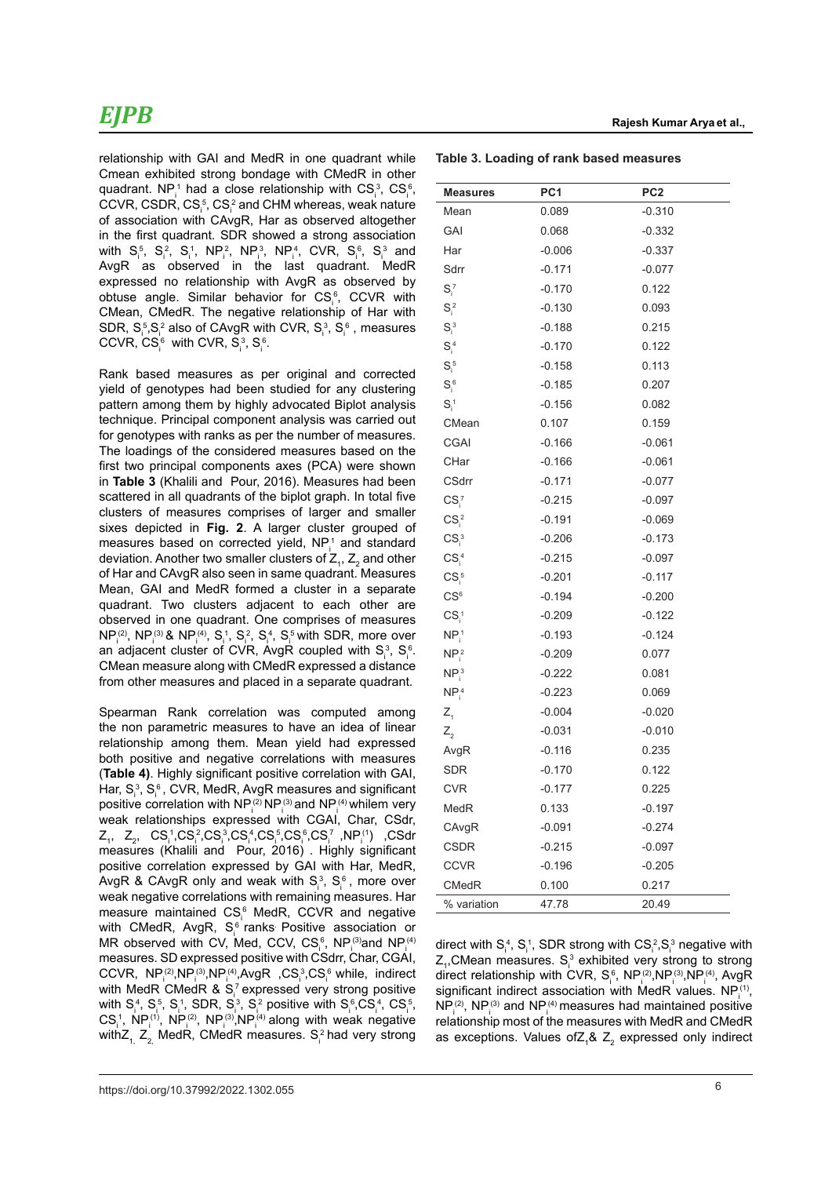relationship with GAI and MedR in one quadrant while Cmean exhibited strong bondage with CMedR in other quadrant. NP<sub>i</sub> had a close relationship with  $CS^3_i$ ,  $CS^6_i$ ,  $CCVR$ ,  $CSDR$ ,  $CS<sub>i</sub><sup>5</sup>$ ,  $CS<sub>i</sub><sup>2</sup>$  and CHM whereas, weak nature of association with CAvgR, Har as observed altogether in the first quadrant. SDR showed a strong association with  $S_i^5$ ,  $S_i^2$ ,  $S_i^1$ ,  $NP_i^2$ ,  $NP_i^3$ ,  $NP_i^4$ , CVR,  $S_i^6$ ,  $S_i^3$  and AvgR as observed in the last quadrant. MedR expressed no relationship with AvgR as observed by obtuse angle. Similar behavior for  $\text{CS}_\text{i}^\text{s}$ , CCVR with CMean, CMedR. The negative relationship of Har with SDR,  $S_i^5$ , $S_i^2$  also of CAvgR with CVR,  $S_i^3$ ,  $S_i^6$  , measures CCVR,  $CS_i^6$  with CVR,  $S_i^3$ ,  $S_i^6$ .

Rank based measures as per original and corrected yield of genotypes had been studied for any clustering pattern among them by highly advocated Biplot analysis technique. Principal component analysis was carried out for genotypes with ranks as per the number of measures. The loadings of the considered measures based on the first two principal components axes (PCA) were shown in **Table 3** (Khalili and Pour, 2016). Measures had been scattered in all quadrants of the biplot graph. In total five clusters of measures comprises of larger and smaller sixes depicted in **Fig. 2**. A larger cluster grouped of measures based on corrected yield,  $NP_i^1$  and standard deviation. Another two smaller clusters of  $\mathsf{Z}_{_{1}},\mathsf{Z}_{_{2}}$  and other of Har and CAvgR also seen in same quadrant. Measures Mean, GAI and MedR formed a cluster in a separate quadrant. Two clusters adjacent to each other are observed in one quadrant. One comprises of measures  $NP_i^{(2)}$ , NP $_i^{(3)}$ & NP $_i^{(4)}$ , S<sub>i</sub><sup>1</sup>, S<sub>i</sub><sup>2</sup>, S<sub>i</sub><sub>1</sub>, S<sub>i</sub><sub>5</sub> with SDR, more over an adjacent cluster of CVR, AvgR coupled with  $S_i^3$ ,  $S_i^6$ . CMean measure along with CMedR expressed a distance from other measures and placed in a separate quadrant.

Spearman Rank correlation was computed among the non parametric measures to have an idea of linear relationship among them. Mean yield had expressed both positive and negative correlations with measures (**Table 4)**. Highly significant positive correlation with GAI, Har,  $S_i^3$ ,  $S_i^6$ , CVR, MedR, AvgR measures and significant positive correlation with  $NP_i^{(2)}NP_i^{(3)}$  and  $NP_i^{(4)}$  whilem very weak relationships expressed with CGAI, Char, CSdr,  $Z_1$ ,  $Z_2$ ,  $CS_1^3$ , $CS_1^3$ , $CS_1^4$ , $CS_1^5$ , $CS_1^6$ , $CS_1^7$ , $NP_1^{(1)}$ ,  $CSdr$ measures (Khalili and Pour, 2016) . Highly significant positive correlation expressed by GAI with Har, MedR, AvgR & CAvgR only and weak with  $S_i^3$ ,  $S_i^6$  , more over weak negative correlations with remaining measures. Har measure maintained  $\text{CS}_i^6$  MedR, CCVR and negative with CMedR, AvgR,  $S_i^6$  ranks Positive association or MR observed with CV, Med, CCV,  $\text{CS}_i^6$ , NP $_i^{(3)}$ and NP $_i^{(4)}$ measures. SD expressed positive with CSdrr, Char, CGAI, CCVR,  $NP_i^{(2)}, NP_i^{(3)}, NP_i^{(4)}, AvgR$ ,  $CS_i^3, CS_i^6$  while, indirect with MedR CMedR & S<sub>i</sub><sup>7</sup> expressed very strong positive with  $S_i^4$ ,  $S_i^5$ ,  $S_i^1$ , SDR,  $S_i^3$ ,  $S_i^2$  positive with  $S_i^6$ ,  $CS_i^4$ ,  $CS_i^5$ , CS<sub>i</sub><sup>1</sup>, NP<sub>i</sub><sup>1</sup>, NP<sub>i</sub><sup>2</sup>, NP<sub>i</sub><sup>3</sup>, NP<sub>i</sub><sup>4</sup> along with weak negative withZ $_{\rm 1,~}$ Z $_{\rm 2,~}$ MedR, CMedR measures. S $_{\rm i}^{\rm 2}$ had very strong **Table 3. Loading of rank based measures** 

| <b>Measures</b>              | PC <sub>1</sub> | PC <sub>2</sub> |
|------------------------------|-----------------|-----------------|
| Mean                         | 0.089           | $-0.310$        |
| GAI                          | 0.068           | $-0.332$        |
| Har                          | $-0.006$        | $-0.337$        |
| Sdrr                         | $-0.171$        | $-0.077$        |
| $S_i^7$                      | $-0.170$        | 0.122           |
| $S_i^2$                      | $-0.130$        | 0.093           |
| $S_i^3$                      | $-0.188$        | 0.215           |
| $S_i^4$                      | $-0.170$        | 0.122           |
| $S_i^5$                      | $-0.158$        | 0.113           |
| $S_i^6$                      | $-0.185$        | 0.207           |
| $S_i^1$                      | $-0.156$        | 0.082           |
| CMean                        | 0.107           | 0.159           |
| <b>CGAI</b>                  | $-0.166$        | $-0.061$        |
| CHar                         | $-0.166$        | $-0.061$        |
| <b>CSdrr</b>                 | $-0.171$        | $-0.077$        |
| $CS_i^7$                     | $-0.215$        | $-0.097$        |
| $CS_i^2$                     | $-0.191$        | $-0.069$        |
| CS <sub>i</sub> <sup>3</sup> | $-0.206$        | $-0.173$        |
| $CS_i^4$                     | $-0.215$        | $-0.097$        |
| $CS_i^5$                     | $-0.201$        | $-0.117$        |
| CS <sup>6</sup>              | $-0.194$        | $-0.200$        |
| CS <sub>i</sub> <sup>1</sup> | $-0.209$        | $-0.122$        |
| $NP_i^1$                     | $-0.193$        | $-0.124$        |
| NP <sub>i</sub> <sup>2</sup> | $-0.209$        | 0.077           |
| NP <sub>i</sub> <sup>3</sup> | $-0.222$        | 0.081           |
| NP <sub>i</sub> <sup>4</sup> | $-0.223$        | 0.069           |
| $Z_{1}$                      | $-0.004$        | $-0.020$        |
| $Z_{2}$                      | $-0.031$        | $-0.010$        |
| AvgR                         | $-0.116$        | 0.235           |
| SDR                          | $-0.170$        | 0.122           |
| <b>CVR</b>                   | $-0.177$        | 0.225           |
| MedR                         | 0.133           | $-0.197$        |
| CAvgR                        | $-0.091$        | $-0.274$        |
| <b>CSDR</b>                  | $-0.215$        | $-0.097$        |
| <b>CCVR</b>                  | $-0.196$        | $-0.205$        |
| <b>CMedR</b>                 | 0.100           | 0.217           |
| % variation                  | 47.78           | 20.49           |

direct with  $S_i^4$ ,  $S_i^1$ , SDR strong with  $CS_i^2, S_i^3$  negative with  $Z_{1}$ ,CMean measures.  $S_{i}^{3}$  exhibited very strong to strong direct relationship with CVR,  $S_i^6$ , NP $_i^{(2)}$ ,NP $_i^{(3)}$ ,NP $_i^{(4)}$ , AvgR significant indirect association with MedR values.  $NP_i^{(1)}$ ,  $NP_i^{(2)}$ , NP $_i^{(3)}$  and NP $_i^{(4)}$  measures had maintained positive relationship most of the measures with MedR and CMedR as exceptions. Values of $Z_1$ &  $Z_2$  expressed only indirect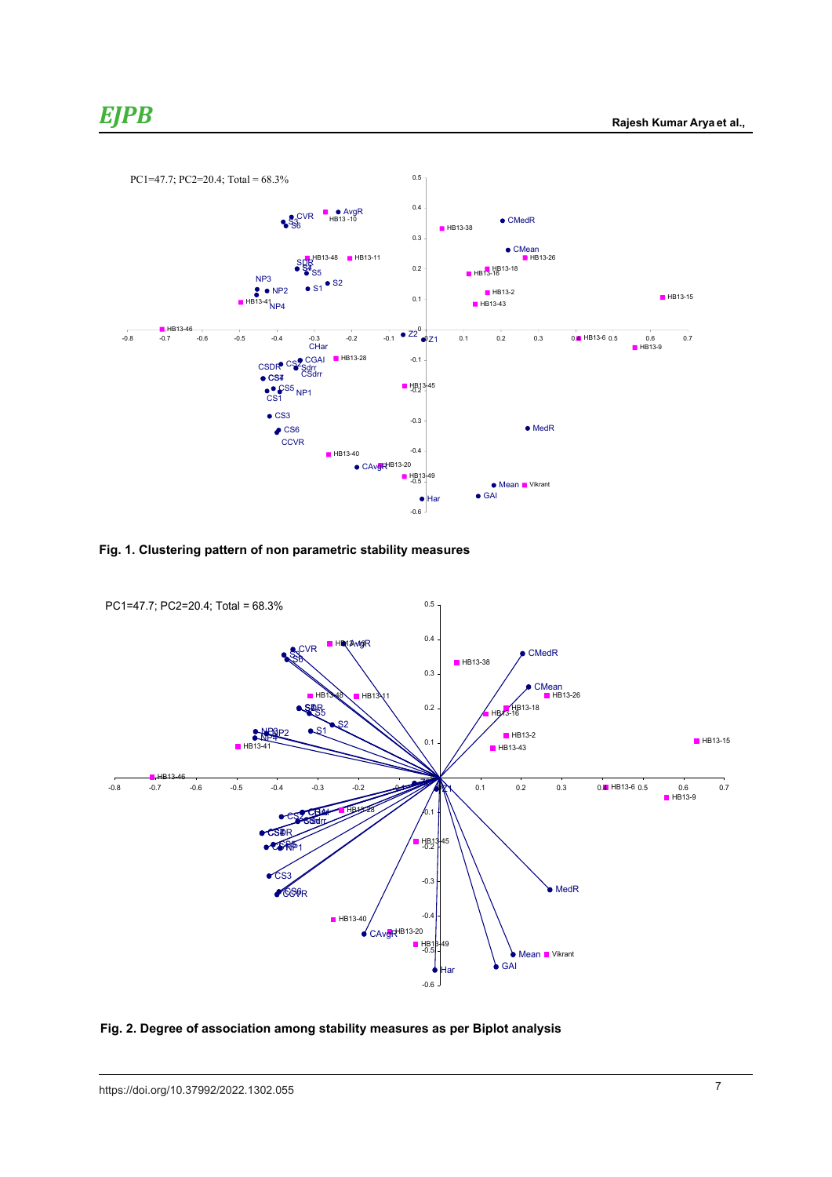Sdrr -0.171 -0.171 -0.171 -0.171 -0.171 -0.171 -0.171 -0.171 -0.171 -0.171 -0.17

HB13-38



**Fig. 1. Clustering pattern of non parametric stability measures Fig. 1. Clustering pattern of non parametric stability measures**



Fig. 2. Degree of association among stability measures as per Biplot analysis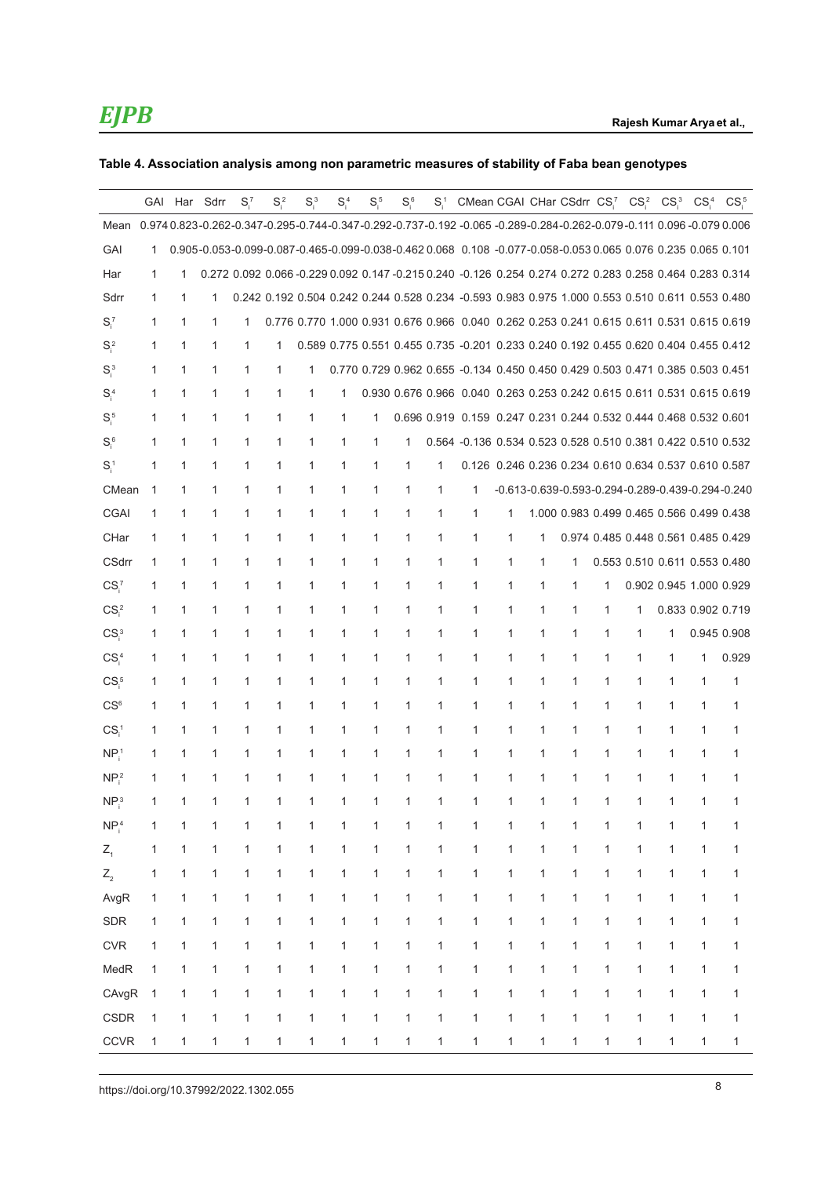### **Table 4. Association analysis among non parametric measures of stability of Faba bean genotypes**

|                              |              | GAI Har Sdrr |              | $S_i^7$      | $S_i^2$      | $S_i^3$      | $S_i^4$ | $S_i^5$      | $S_i^6$      | $S_i^1$      | CMean CGAI CHar CSdrr CS <sub>i</sub> CS <sub>i</sub>                                                             |              |              |                                           |                                     |   | CS <sub>i</sub> <sup>3</sup>  | $CS^4_1$          | CS <sub>i</sub>                                  |
|------------------------------|--------------|--------------|--------------|--------------|--------------|--------------|---------|--------------|--------------|--------------|-------------------------------------------------------------------------------------------------------------------|--------------|--------------|-------------------------------------------|-------------------------------------|---|-------------------------------|-------------------|--------------------------------------------------|
| Mean                         |              |              |              |              |              |              |         |              |              |              | 0.974 0.823-0.262-0.347-0.295-0.744-0.347-0.292-0.737-0.192-0.065-0.289-0.284-0.262-0.079-0.111 0.096-0.079 0.006 |              |              |                                           |                                     |   |                               |                   |                                                  |
| GAI                          | 1            |              |              |              |              |              |         |              |              |              | 0.905-0.053-0.099-0.087-0.465-0.099-0.038-0.462 0.068 0.108 -0.077-0.058-0.053 0.065 0.076 0.235 0.065 0.101      |              |              |                                           |                                     |   |                               |                   |                                                  |
| Har                          | $\mathbf{1}$ | 1            |              |              |              |              |         |              |              |              | 0.272 0.092 0.066 -0.229 0.092 0.147 -0.215 0.240 -0.126 0.254 0.274 0.272 0.283 0.258 0.464 0.283 0.314          |              |              |                                           |                                     |   |                               |                   |                                                  |
| Sdrr                         | $\mathbf{1}$ | 1            | 1            |              |              |              |         |              |              |              | 0.242 0.192 0.504 0.242 0.244 0.528 0.234 -0.593 0.983 0.975 1.000 0.553 0.510 0.611 0.553 0.480                  |              |              |                                           |                                     |   |                               |                   |                                                  |
| $S_i^7$                      | $\mathbf{1}$ | 1            | 1            | 1            |              |              |         |              |              |              | 0.776 0.770 1.000 0.931 0.676 0.966 0.040 0.262 0.253 0.241 0.615 0.611 0.531 0.615 0.619                         |              |              |                                           |                                     |   |                               |                   |                                                  |
| $S_i^2$                      | 1            | 1            | 1            | 1            | 1            |              |         |              |              |              | 0.589 0.775 0.551 0.455 0.735 -0.201 0.233 0.240 0.192 0.455 0.620 0.404 0.455 0.412                              |              |              |                                           |                                     |   |                               |                   |                                                  |
| $S_i^3$                      | 1            | 1            | 1            | 1            | 1            | 1            |         |              |              |              | 0.770 0.729 0.962 0.655 -0.134 0.450 0.450 0.429 0.503 0.471 0.385 0.503 0.451                                    |              |              |                                           |                                     |   |                               |                   |                                                  |
| $S_i^4$                      | 1            | 1            | 1            | 1            | 1            | 1            | 1       |              |              |              | 0.930 0.676 0.966 0.040 0.263 0.253 0.242 0.615 0.611 0.531 0.615 0.619                                           |              |              |                                           |                                     |   |                               |                   |                                                  |
| $S_i^5$                      | 1            | 1            | 1            | 1            | $\mathbf{1}$ | $\mathbf{1}$ | 1       | 1            |              |              | 0.696 0.919 0.159 0.247 0.231 0.244 0.532 0.444 0.468 0.532 0.601                                                 |              |              |                                           |                                     |   |                               |                   |                                                  |
| $S_i^6$                      | 1            | 1            | 1            | 1            | 1            | 1            | 1       | 1            | 1            |              | 0.564 -0.136 0.534 0.523 0.528 0.510 0.381 0.422 0.510 0.532                                                      |              |              |                                           |                                     |   |                               |                   |                                                  |
| $S_i^1$                      | 1            | 1            | 1            | 1            | 1            | 1            | 1       | 1            | 1            | 1            | 0.126 0.246 0.236 0.234 0.610 0.634 0.537 0.610 0.587                                                             |              |              |                                           |                                     |   |                               |                   |                                                  |
| CMean                        | $\mathbf{1}$ | 1            | $\mathbf{1}$ | 1            | 1            | 1            | 1       | $\mathbf 1$  | 1            | 1            | 1                                                                                                                 |              |              |                                           |                                     |   |                               |                   | -0.613-0.639-0.593-0.294-0.289-0.439-0.294-0.240 |
| CGAI                         | $\mathbf{1}$ | 1            | 1            | 1            | 1            | 1            | 1       | 1            | 1            | 1            | 1                                                                                                                 | 1            |              | 1.000 0.983 0.499 0.465 0.566 0.499 0.438 |                                     |   |                               |                   |                                                  |
| CHar                         | $\mathbf{1}$ | 1            | 1            | 1            | 1            | 1            | 1       | 1            | 1            | 1            | $\mathbf{1}$                                                                                                      | 1            | 1            |                                           | 0.974 0.485 0.448 0.561 0.485 0.429 |   |                               |                   |                                                  |
| <b>CSdrr</b>                 | 1            | 1            | 1            | 1            | 1            | 1            | 1       | 1            | 1            | 1            | 1                                                                                                                 | 1            | 1            | 1                                         |                                     |   | 0.553 0.510 0.611 0.553 0.480 |                   |                                                  |
| CS <sub>i</sub>              | 1            | 1            | 1            | 1            | $\mathbf{1}$ | $\mathbf{1}$ | 1       | $\mathbf{1}$ | $\mathbf{1}$ | 1            | 1                                                                                                                 | $\mathbf{1}$ | $\mathbf{1}$ | 1                                         | 1                                   |   | 0.902 0.945 1.000 0.929       |                   |                                                  |
| CS <sub>i</sub> <sup>2</sup> | 1            | 1            | 1            | 1            | 1            | 1            | 1       | 1            | 1            | 1            | 1                                                                                                                 | 1            | 1            | 1                                         | 1                                   | 1 |                               | 0.833 0.902 0.719 |                                                  |
| CS <sub>i</sub> <sup>3</sup> | 1            | 1            | 1            | 1            | $\mathbf{1}$ | 1            | 1       | $\mathbf{1}$ | $\mathbf{1}$ | 1            | $\mathbf{1}$                                                                                                      | $\mathbf{1}$ | $\mathbf{1}$ | 1                                         | $\mathbf{1}$                        | 1 | 1                             | 0.945 0.908       |                                                  |
| CS <sub>i</sub> <sup>4</sup> | $\mathbf{1}$ | 1            | 1            | 1            | 1            | 1            | 1       | $\mathbf 1$  | 1            | 1            | 1                                                                                                                 | 1            | 1            | 1                                         | 1                                   | 1 | $\mathbf{1}$                  | 1                 | 0.929                                            |
| $CSi$ <sup>5</sup>           | 1            | 1            | $\mathbf{1}$ | 1            | 1            | 1            | 1       | 1            | 1            | 1            | 1                                                                                                                 | 1            | $\mathbf{1}$ | 1                                         | 1                                   | 1 | $\mathbf{1}$                  | 1                 | 1                                                |
| CS <sup>6</sup>              | $\mathbf{1}$ | 1            | 1            | 1            | 1            | 1            | 1       | 1            | 1            | 1            | $\mathbf{1}$                                                                                                      | $\mathbf{1}$ | $\mathbf{1}$ | 1                                         | 1                                   | 1 | $\mathbf{1}$                  | 1                 | 1                                                |
| CS <sub>i</sub>              | 1            | 1            | 1            | 1            | 1            | 1            | 1       | 1            | 1            | 1            | 1                                                                                                                 | 1            | 1            | 1                                         | 1                                   | 1 | 1                             | 1                 | 1                                                |
| NP <sub>i</sub> <sup>1</sup> | 1            | 1            | 1            | 1            | 1            | 1            | 1       | 1            | 1            | 1            | 1                                                                                                                 | 1            | $\mathbf{1}$ | 1                                         | 1                                   | 1 | $\mathbf{1}$                  | 1                 | 1                                                |
| NP <sub>i</sub> <sup>2</sup> | 1            | 1            | 1            | 1            | 1            | 1            | 1       | 1            | 1            | 1            | 1                                                                                                                 | 1            | 1            | 1                                         | 1                                   | 1 | 1                             | 1                 | 1                                                |
| NP <sub>i</sub> <sup>3</sup> | 1            | $\mathbf{1}$ | $\mathbf{1}$ | $\mathbf{1}$ | 1            | 1            | 1       | $\mathbf 1$  | $\mathbf{1}$ | 1            | $\mathbf{1}$                                                                                                      | $\mathbf{1}$ | $\mathbf{1}$ | $\mathbf{1}$                              | $\mathbf{1}$                        | 1 | $\mathbf{1}$                  | 1                 | 1                                                |
| NP <sub>i</sub> <sup>4</sup> | 1            | 1            | 1            | 1            | 1            | $\mathbf{1}$ | 1       | $\mathbf{1}$ | 1            | $\mathbf{1}$ | $\mathbf 1$                                                                                                       | $\mathbf 1$  | 1            | 1                                         | $\mathbf{1}$                        | 1 | $\mathbf{1}$                  | 1                 | 1                                                |
| $Z_{1}$                      | 1            | 1            | 1            | 1            | $\mathbf{1}$ | $\mathbf{1}$ | 1       | 1            | $\mathbf{1}$ | 1            | 1                                                                                                                 | $\mathbf{1}$ | $\mathbf{1}$ | 1                                         | 1                                   | 1 | $\mathbf{1}$                  | 1                 | 1                                                |
| $Z_{2}$                      | 1            | 1            | 1            | 1            | 1            | 1            | 1       | 1            | 1            | 1            | 1                                                                                                                 | 1            | 1            | 1                                         | 1                                   | 1 | 1                             | 1                 | 1                                                |
| AvgR                         | 1            | 1            | 1            | 1            | 1            | 1            | 1       | 1            | 1            | 1            | 1                                                                                                                 | 1            | 1            | 1                                         | 1                                   | 1 | $\mathbf{1}$                  | 1                 | 1                                                |
| SDR                          | 1            | 1            | 1            | 1            | 1            | 1            | 1       | 1            | 1            | 1            | 1                                                                                                                 | 1            | 1            | 1                                         | 1                                   | 1 | 1                             | 1                 | 1                                                |
| CVR                          | 1            | 1            | 1            | 1            | 1            | 1            | 1       | 1            | 1            | 1            | 1                                                                                                                 | $\mathbf{1}$ | $\mathbf{1}$ | 1                                         | 1                                   | 1 | 1                             | 1                 | 1                                                |
| MedR                         | 1            | 1            | 1            | 1            | 1            | 1            | 1       | 1            | $\mathbf{1}$ | 1            | 1                                                                                                                 | $\mathbf{1}$ | $\mathbf{1}$ | 1                                         | 1                                   | 1 | $\mathbf{1}$                  | 1                 | 1                                                |
| CAvgR                        | $\mathbf{1}$ | 1            | 1            | 1            | 1            | 1            | 1       | 1            | $\mathbf{1}$ | 1            | 1                                                                                                                 | 1            | $\mathbf{1}$ | 1                                         | 1                                   | 1 | 1                             | 1                 | 1                                                |
| CSDR                         | 1            | 1            | 1            | 1            | 1            | 1            | 1       | 1            | 1            | 1            | 1                                                                                                                 | 1            | $\mathbf{1}$ | 1                                         | 1                                   | 1 | 1                             | 1                 | 1                                                |
| <b>CCVR</b>                  | 1            | 1            | 1            | 1            | $\mathbf{1}$ | 1            | 1       | 1            | 1            | 1            | 1                                                                                                                 | 1            | 1            | 1                                         | 1                                   | 1 | 1                             | 1                 | $\mathbf{1}$                                     |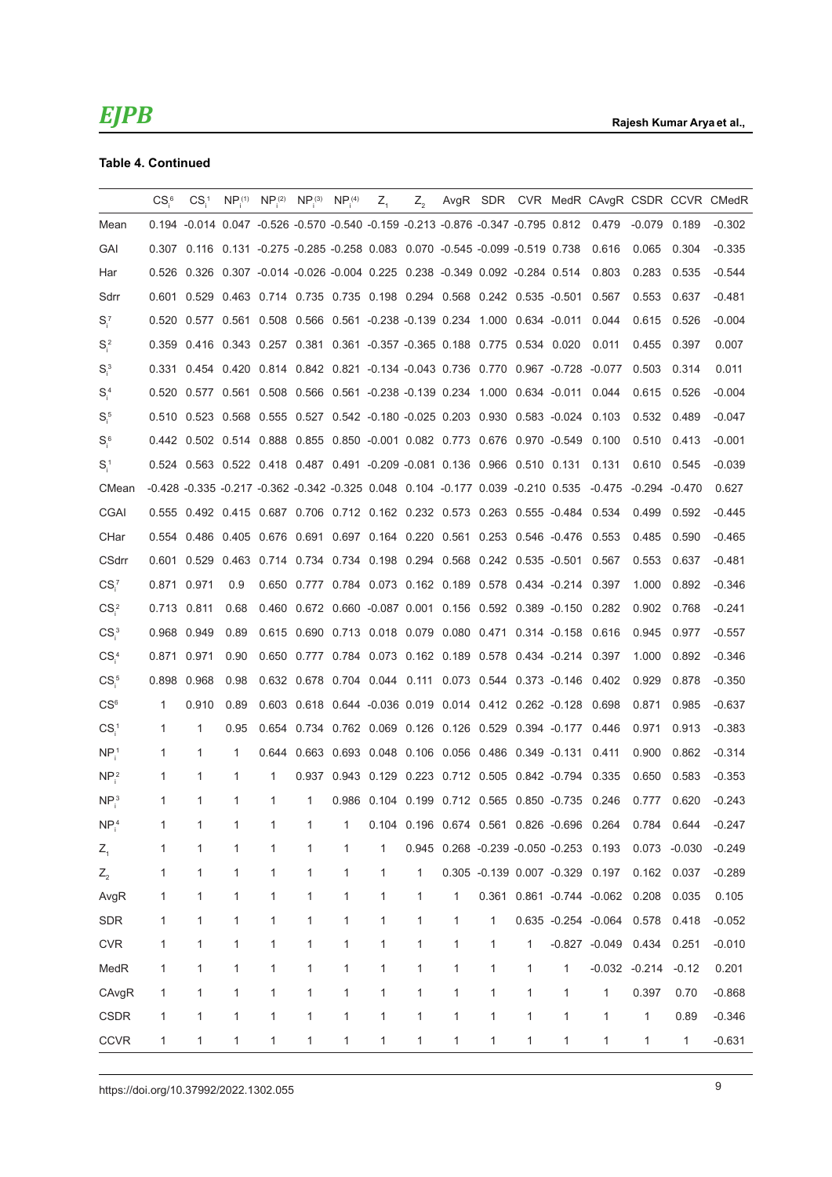### **Table 4. Continued**

|                              | $CSi$ <sup>6</sup> | CS <sub>i</sub> | NP <sub>i</sub> <sup>(1)</sup> | NP <sub>i</sub> <sup>(2)</sup>                                                           | NP <sub>i</sub> <sup>(3)</sup> | NP <sub>i</sub> <sup>(4)</sup> | $Z_{1}$      | $Z_{2}$ |                                                               |              |   |   |                                                                                                      |                 |         | AvgR SDR CVR MedR CAvgR CSDR CCVR CMedR |
|------------------------------|--------------------|-----------------|--------------------------------|------------------------------------------------------------------------------------------|--------------------------------|--------------------------------|--------------|---------|---------------------------------------------------------------|--------------|---|---|------------------------------------------------------------------------------------------------------|-----------------|---------|-----------------------------------------|
| Mean                         |                    |                 |                                |                                                                                          |                                |                                |              |         |                                                               |              |   |   | 0.194 -0.014 0.047 -0.526 -0.570 -0.540 -0.159 -0.213 -0.876 -0.347 -0.795 0.812 0.479               | -0.079 0.189    |         | $-0.302$                                |
| GAI                          |                    |                 |                                | 0.307  0.116  0.131  -0.275  -0.285  -0.258  0.083  0.070  -0.545  -0.099  -0.519  0.738 |                                |                                |              |         |                                                               |              |   |   | 0.616                                                                                                | 0.065           | 0.304   | $-0.335$                                |
| Har                          |                    |                 |                                | 0.526 0.326 0.307 -0.014 -0.026 -0.004 0.225 0.238 -0.349 0.092 -0.284 0.514             |                                |                                |              |         |                                                               |              |   |   | 0.803                                                                                                | 0.283           | 0.535   | $-0.544$                                |
| Sdrr                         |                    |                 |                                | 0.601 0.529 0.463 0.714 0.735 0.735 0.198 0.294 0.568 0.242 0.535 -0.501 0.567           |                                |                                |              |         |                                                               |              |   |   |                                                                                                      | 0.553           | 0.637   | $-0.481$                                |
| $S_i^7$                      |                    |                 |                                | 0.520 0.577 0.561 0.508 0.566 0.561 -0.238 -0.139 0.234 1.000 0.634 -0.011               |                                |                                |              |         |                                                               |              |   |   | 0.044                                                                                                | 0.615           | 0.526   | $-0.004$                                |
| $S_i^2$                      |                    |                 |                                | 0.359  0.416  0.343  0.257  0.381  0.361  -0.357  -0.365  0.188  0.775  0.534  0.020     |                                |                                |              |         |                                                               |              |   |   | 0.011                                                                                                | 0.455           | 0.397   | 0.007                                   |
| $S_i^3$                      |                    |                 |                                |                                                                                          |                                |                                |              |         |                                                               |              |   |   | 0.331 0.454 0.420 0.814 0.842 0.821 -0.134 -0.043 0.736 0.770 0.967 -0.728 -0.077                    | 0.503           | 0.314   | 0.011                                   |
| $S_i^4$                      |                    |                 |                                |                                                                                          |                                |                                |              |         |                                                               |              |   |   | 0.520 0.577 0.561 0.508 0.566 0.561 -0.238 -0.139 0.234 1.000 0.634 -0.011 0.044                     | 0.615           | 0.526   | $-0.004$                                |
| $Si^5$                       |                    |                 |                                |                                                                                          |                                |                                |              |         |                                                               |              |   |   | 0.510 0.523 0.568 0.555 0.527 0.542 -0.180 -0.025 0.203 0.930 0.583 -0.024 0.103                     | 0.532           | 0.489   | $-0.047$                                |
| $Si$ <sup>6</sup>            |                    |                 |                                |                                                                                          |                                |                                |              |         |                                                               |              |   |   | 0.442 0.502 0.514 0.888 0.855 0.850 -0.001 0.082 0.773 0.676 0.970 -0.549 0.100                      | 0.510           | 0.413   | $-0.001$                                |
| $S_i^1$                      |                    |                 |                                |                                                                                          |                                |                                |              |         |                                                               |              |   |   | 0.524 0.563 0.522 0.418 0.487 0.491 -0.209 -0.081 0.136 0.966 0.510 0.131 0.131                      | 0.610 0.545     |         | $-0.039$                                |
| CMean                        |                    |                 |                                |                                                                                          |                                |                                |              |         |                                                               |              |   |   | -0.428 -0.335 -0.217 -0.362 -0.342 -0.325 0.048 0.104 -0.177 0.039 -0.210 0.535 -0.475 -0.294 -0.470 |                 |         | 0.627                                   |
| CGAI                         |                    |                 |                                |                                                                                          |                                |                                |              |         |                                                               |              |   |   | 0.555 0.492 0.415 0.687 0.706 0.712 0.162 0.232 0.573 0.263 0.555 -0.484 0.534                       | 0.499           | 0.592   | $-0.445$                                |
| CHar                         |                    |                 |                                |                                                                                          |                                |                                |              |         |                                                               |              |   |   | 0.554 0.486 0.405 0.676 0.691 0.697 0.164 0.220 0.561 0.253 0.546 -0.476 0.553                       | 0.485           | 0.590   | $-0.465$                                |
| CSdrr                        |                    |                 |                                | 0.601 0.529 0.463 0.714 0.734 0.734 0.198 0.294 0.568 0.242 0.535 -0.501 0.567           |                                |                                |              |         |                                                               |              |   |   |                                                                                                      | 0.553           | 0.637   | $-0.481$                                |
| CS <sub>i</sub>              | 0.871 0.971        |                 | 0.9                            |                                                                                          |                                |                                |              |         | 0.650 0.777 0.784 0.073 0.162 0.189 0.578 0.434 -0.214 0.397  |              |   |   |                                                                                                      | 1.000           | 0.892   | $-0.346$                                |
| CS <sub>i</sub> <sup>2</sup> | 0.713 0.811        |                 | 0.68                           |                                                                                          |                                |                                |              |         |                                                               |              |   |   | 0.460 0.672 0.660 -0.087 0.001 0.156 0.592 0.389 -0.150 0.282                                        | 0.902           | 0.768   | $-0.241$                                |
| $CS_i^3$                     |                    | 0.968 0.949     | 0.89                           |                                                                                          |                                |                                |              |         |                                                               |              |   |   | 0.615 0.690 0.713 0.018 0.079 0.080 0.471 0.314 -0.158 0.616                                         | 0.945           | 0.977   | $-0.557$                                |
| CS <sub>i</sub> <sup>4</sup> | 0.871 0.971        |                 | 0.90                           |                                                                                          |                                |                                |              |         | 0.650 0.777 0.784 0.073 0.162 0.189 0.578 0.434 -0.214 0.397  |              |   |   |                                                                                                      | 1.000           | 0.892   | $-0.346$                                |
| CS <sub>i</sub> <sup>5</sup> |                    | 0.898 0.968     | 0.98                           |                                                                                          |                                |                                |              |         |                                                               |              |   |   | 0.632 0.678 0.704 0.044 0.111 0.073 0.544 0.373 -0.146 0.402                                         | 0.929           | 0.878   | $-0.350$                                |
| CS <sup>6</sup>              | 1                  | 0.910           | 0.89                           |                                                                                          |                                |                                |              |         | 0.603 0.618 0.644 -0.036 0.019 0.014 0.412 0.262 -0.128 0.698 |              |   |   |                                                                                                      | 0.871           | 0.985   | $-0.637$                                |
| CS <sub>i</sub>              | 1                  | 1               | 0.95                           |                                                                                          |                                |                                |              |         | 0.654 0.734 0.762 0.069 0.126 0.126 0.529 0.394 -0.177 0.446  |              |   |   |                                                                                                      | 0.971           | 0.913   | $-0.383$                                |
| NP <sub>i</sub> <sup>1</sup> | 1                  | $\mathbf{1}$    | 1                              |                                                                                          |                                |                                |              |         | 0.644 0.663 0.693 0.048 0.106 0.056 0.486 0.349 -0.131 0.411  |              |   |   |                                                                                                      | 0.900           | 0.862   | $-0.314$                                |
| $NP_i^2$                     | 1                  | $\mathbf{1}$    | $\mathbf{1}$                   | $\mathbf{1}$                                                                             | 0.937                          |                                |              |         | 0.943 0.129 0.223 0.712 0.505 0.842 -0.794 0.335              |              |   |   |                                                                                                      | 0.650           | 0.583   | $-0.353$                                |
| NP <sub>i</sub> <sup>3</sup> | $\mathbf{1}$       | 1               | 1                              | 1                                                                                        | 1                              |                                |              |         |                                                               |              |   |   | 0.986 0.104 0.199 0.712 0.565 0.850 -0.735 0.246                                                     | 0.777 0.620     |         | $-0.243$                                |
| $NP_i^4$                     | 1                  |                 |                                | 1                                                                                        |                                | 1                              |              |         |                                                               |              |   |   | 0.104  0.196  0.674  0.561  0.826  -0.696  0.264                                                     | 0.784 0.644     |         | -0.247                                  |
| $Z_{1}$                      | 1                  | 1               | 1                              | 1                                                                                        | 1                              | 1                              | 1            |         |                                                               |              |   |   | 0.945 0.268 -0.239 -0.050 -0.253 0.193                                                               | 0.073 -0.030    |         | $-0.249$                                |
| $Z_{2}$                      | 1                  | 1               | 1                              | 1                                                                                        | 1                              | 1                              | 1            | 1       |                                                               |              |   |   | 0.305 -0.139 0.007 -0.329 0.197                                                                      | 0.162 0.037     |         | $-0.289$                                |
| AvgR                         | $\mathbf{1}$       | 1               | 1                              | $\mathbf{1}$                                                                             | 1                              | $\mathbf{1}$                   | $\mathbf{1}$ | 1       | 1                                                             |              |   |   | 0.361  0.861  -0.744  -0.062  0.208                                                                  |                 | 0.035   | 0.105                                   |
| <b>SDR</b>                   | 1                  | 1               | 1                              | 1                                                                                        | 1                              | 1                              | 1            | 1       | 1                                                             | $\mathbf{1}$ |   |   | 0.635 -0.254 -0.064 0.578                                                                            |                 | 0.418   | $-0.052$                                |
| <b>CVR</b>                   | $\mathbf{1}$       | 1               | 1                              | $\mathbf{1}$                                                                             | $\mathbf{1}$                   | 1                              | 1            | 1       | 1                                                             | 1            | 1 |   | $-0.827 -0.049$                                                                                      | 0.434           | 0.251   | $-0.010$                                |
| MedR                         | 1                  | 1               | 1                              | 1                                                                                        | 1                              | 1                              | 1            | 1       | 1                                                             | 1            | 1 | 1 |                                                                                                      | $-0.032 -0.214$ | $-0.12$ | 0.201                                   |
| CAvgR                        | $\mathbf{1}$       | 1               | 1                              | 1                                                                                        | 1                              | 1                              | 1            | 1       | 1                                                             | $\mathbf{1}$ | 1 | 1 | 1                                                                                                    | 0.397           | 0.70    | $-0.868$                                |
| <b>CSDR</b>                  | 1                  | 1               | 1                              | 1                                                                                        | $\mathbf{1}$                   | $\mathbf{1}$                   | $\mathbf{1}$ | 1       | 1                                                             | $\mathbf{1}$ | 1 | 1 | 1                                                                                                    | $\mathbf{1}$    | 0.89    | $-0.346$                                |
| <b>CCVR</b>                  | 1                  | 1               | 1                              | 1                                                                                        | 1                              | 1                              | 1            | 1       | 1                                                             | 1            | 1 | 1 | 1                                                                                                    | 1               | 1       | $-0.631$                                |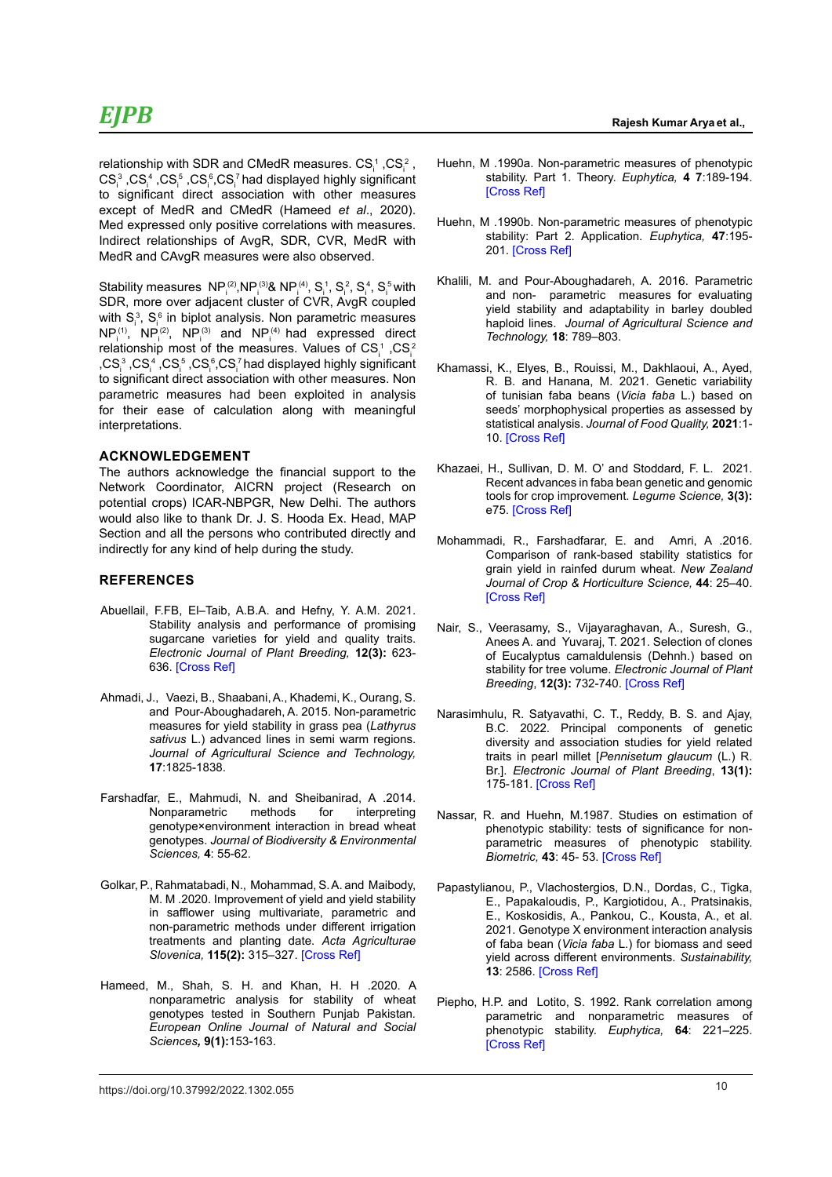relationship with SDR and CMedR measures.  $\text{CS}_\text{i}^{\text{-}}$  ,CS $\text{c}_\text{i}^{\text{-}}$  ,  $\text{CS}_i^{\,3}$  ,CS $_i^{\,4}$  ,CS $_i^{\,5}$  ,CS $_i^{\,6}$ ,CS $_i^{\,7}$  had displayed highly significant to significant direct association with other measures except of MedR and CMedR (Hameed *et al*., 2020). Med expressed only positive correlations with measures. Indirect relationships of AvgR, SDR, CVR, MedR with MedR and CAvgR measures were also observed.

Stability measures  $NP_i^{(2)}, NP_i^{(3)}$ &  $NP_i^{(4)}, S_i^1, S_i^2, S_i^4, S_i^5$  with SDR, more over adjacent cluster of CVR, AvgR coupled with  $S_i^3$ ,  $S_i^6$  in biplot analysis. Non parametric measures  $NP_i^{(1)}$ ,  $NP_i^{(2)}$ ,  $NP_i^{(3)}$  and  $NP_i^{(4)}$  had expressed direct relationship most of the measures. Values of CS $^1$ ,CS $^2$ ,CS $^3$ ,CS $^4$ ,CS $^5$ ,CS $^6$ ,CS $^7$ had displayed highly significant to significant direct association with other measures. Non parametric measures had been exploited in analysis for their ease of calculation along with meaningful interpretations.

#### **ACKNOWLEDGEMENT**

The authors acknowledge the financial support to the Network Coordinator, AICRN project (Research on potential crops) ICAR-NBPGR, New Delhi. The authors would also like to thank Dr. J. S. Hooda Ex. Head, MAP Section and all the persons who contributed directly and indirectly for any kind of help during the study.

#### **REFERENCES**

- Abuellail, F.FB, El–Taib, A.B.A. and Hefny, Y. A.M. 2021. Stability analysis and performance of promising sugarcane varieties for yield and quality traits. *Electronic Journal of Plant Breeding,* **12(3):** 623- 636. [\[Cross Ref\]](https://doi.org/10.37992/2021.1203.088)
- Ahmadi, J., Vaezi, B., Shaabani, A., Khademi, K., Ourang, S. and Pour-Aboughadareh, A. 2015. Non-parametric measures for yield stability in grass pea (*Lathyrus sativus* L.) advanced lines in semi warm regions. *Journal of Agricultural Science and Technology,*  **17**:1825-1838.
- Farshadfar, E., Mahmudi, N. and Sheibanirad, A .2014. Nonparametric methods for interpreting genotype×environment interaction in bread wheat genotypes. *Journal of Biodiversity & Environmental Sciences,* **4**: 55-62.
- Golkar, P., Rahmatabadi, N., Mohammad, S. A. and Maibody, M. M .2020. Improvement of yield and yield stability in safflower using multivariate, parametric and non-parametric methods under different irrigation treatments and planting date. *Acta Agriculturae Slovenica,* **115(2):** 315–327. [\[Cross Ref\]](https://doi.org/10.14720/aas.2020.115.2.1257)
- Hameed, M., Shah, S. H. and Khan, H. H .2020. A nonparametric analysis for stability of wheat genotypes tested in Southern Punjab Pakistan*. European Online Journal of Natural and Social Sciences,* **9(1):**153-163.
- Huehn, M .1990a. Non-parametric measures of phenotypic stability. Part 1. Theory. *Euphytica,* **4 7**:189-194. [\[Cross Ref\]](https://doi.org/10.1007/BF00024241)
- Huehn, M .1990b. Non-parametric measures of phenotypic stability: Part 2. Application. *Euphytica,* **47**:195- 201. [\[Cross Ref\]](%20https://doi.org/10.1007/BF00024242)
- Khalili, M. and Pour-Aboughadareh, A. 2016. Parametric and non- parametric measures for evaluating yield stability and adaptability in barley doubled haploid lines. *Journal of Agricultural Science and Technology,* **18**: 789–803.
- Khamassi, K., Elyes, B., Rouissi, M., Dakhlaoui, A., Ayed, R. B. and Hanana, M. 2021. Genetic variability of tunisian faba beans (*Vicia faba* L.) based on seeds' morphophysical properties as assessed by statistical analysis. *Journal of Food Quality,* **2021**:1- 10. [\[Cross Ref\]](https://doi.org/10.1155/2021/9493607)
- Khazaei, H., Sullivan, D. M. O' and Stoddard, F. L. 2021. Recent advances in faba bean genetic and genomic tools for crop improvement. *Legume Science,* **3(3):** e75. [\[Cross Ref\]](%20https://doi.org/10.1002/leg3.75)
- Mohammadi, R., Farshadfarar, E. and Amri, A .2016. Comparison of rank-based stability statistics for grain yield in rainfed durum wheat. *New Zealand Journal of Crop & Horticulture Science,* **44**: 25–40. [\[Cross Ref\]](https://doi.org/10.1080/01140671.2015.1100126)
- Nair, S., Veerasamy, S., Vijayaraghavan, A., Suresh, G., Anees A. and Yuvaraj, T. 2021. Selection of clones of Eucalyptus camaldulensis (Dehnh.) based on stability for tree volume. *Electronic Journal of Plant Breeding*, **12(3):** 732-740[. \[Cross Ref\]](https://doi.org/10.37992/2021.1203.102)
- Narasimhulu, R. Satyavathi, C. T., Reddy, B. S. and Ajay, B.C. 2022. Principal components of genetic diversity and association studies for yield related traits in pearl millet [*Pennisetum glaucum* (L.) R. Br.]. *Electronic Journal of Plant Breeding*, **13(1):** 175-181[. \[Cross Ref\]](https://doi.org/10.37992/2022.1301.025)
- Nassar, R. and Huehn, M.1987. Studies on estimation of phenotypic stability: tests of significance for nonparametric measures of phenotypic stability. *Biometric,* **43**: 45- 53. [\[Cross Ref\]](https://doi.org/10.2307/2531947)
- Papastylianou, P., Vlachostergios, D.N., Dordas, C., Tigka, E., Papakaloudis, P., Kargiotidou, A., Pratsinakis, E., Koskosidis, A., Pankou, C., Kousta, A., et al. 2021. Genotype X environment interaction analysis of faba bean (*Vicia faba* L.) for biomass and seed yield across different environments. *Sustainability,* **13**: 2586. [\[Cross Ref\]](https://doi.org/10.3390/su13052586)
- Piepho, H.P. and Lotito, S. 1992. Rank correlation among parametric and nonparametric measures of phenotypic stability. *Euphytica,* **64**: 221–225. [\[Cross Ref\]](https://doi.org/10.1007/BF00046052)

10 https://doi.org/10.37992/2022.1302.055